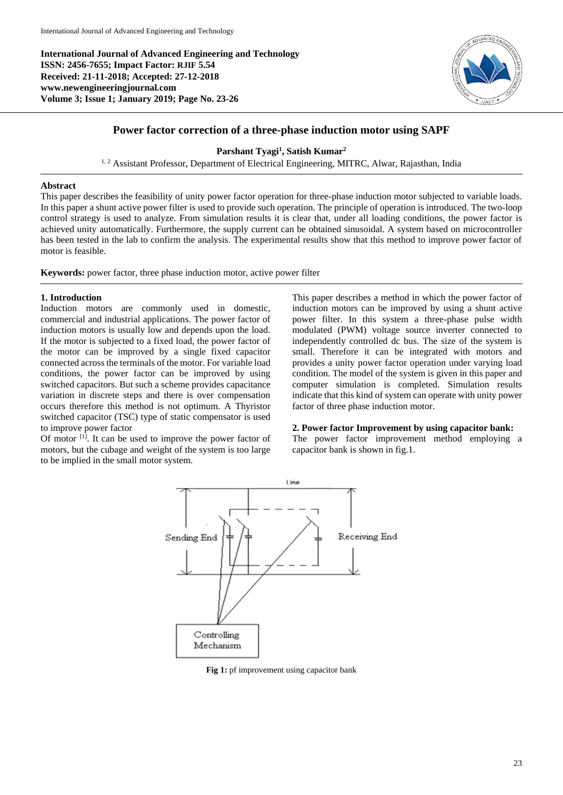**International Journal of Advanced Engineering and Technology ISSN: 2456-7655; Impact Factor: RJIF 5.54 Received: 21-11-2018; Accepted: 27-12-2018 www.newengineeringjournal.com Volume 3; Issue 1; January 2019; Page No. 23-26**



# **Power factor correction of a three-phase induction motor using SAPF**

**Parshant Tyagi<sup>1</sup> , Satish Kumar<sup>2</sup>**

<sup>1, 2</sup> Assistant Professor, Department of Electrical Engineering, MITRC, Alwar, Rajasthan, India

#### **Abstract**

This paper describes the feasibility of unity power factor operation for three-phase induction motor subjected to variable loads. In this paper a shunt active power filter is used to provide such operation. The principle of operation is introduced. The two-loop control strategy is used to analyze. From simulation results it is clear that, under all loading conditions, the power factor is achieved unity automatically. Furthermore, the supply current can be obtained sinusoidal. A system based on microcontroller has been tested in the lab to confirm the analysis. The experimental results show that this method to improve power factor of motor is feasible.

**Keywords:** power factor, three phase induction motor, active power filter

# **1. Introduction**

Induction motors are commonly used in domestic, commercial and industrial applications. The power factor of induction motors is usually low and depends upon the load. If the motor is subjected to a fixed load, the power factor of the motor can be improved by a single fixed capacitor connected across the terminals of the motor. For variable load conditions, the power factor can be improved by using switched capacitors. But such a scheme provides capacitance variation in discrete steps and there is over compensation occurs therefore this method is not optimum. A Thyristor switched capacitor (TSC) type of static compensator is used to improve power factor

Of motor  $[1]$ . It can be used to improve the power factor of motors, but the cubage and weight of the system is too large to be implied in the small motor system.

This paper describes a method in which the power factor of induction motors can be improved by using a shunt active power filter. In this system a three-phase pulse width modulated (PWM) voltage source inverter connected to independently controlled dc bus. The size of the system is small. Therefore it can be integrated with motors and provides a unity power factor operation under varying load condition. The model of the system is given in this paper and computer simulation is completed. Simulation results indicate that this kind of system can operate with unity power factor of three phase induction motor.

#### **2. Power factor Improvement by using capacitor bank:**

The power factor improvement method employing a capacitor bank is shown in fig.1.



**Fig 1:** pf improvement using capacitor bank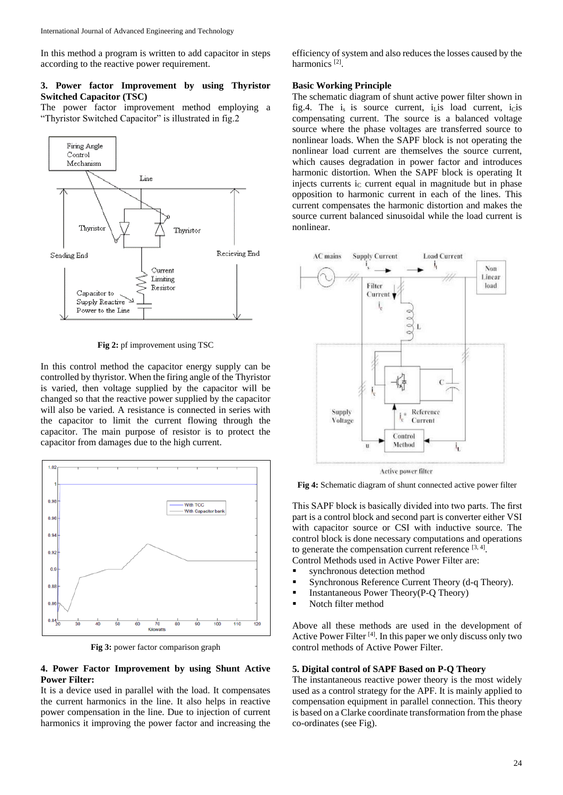In this method a program is written to add capacitor in steps according to the reactive power requirement.

# **3. Power factor Improvement by using Thyristor Switched Capacitor (TSC)**

The power factor improvement method employing a "Thyristor Switched Capacitor" is illustrated in fig.2



**Fig 2:** pf improvement using TSC

In this control method the capacitor energy supply can be controlled by thyristor. When the firing angle of the Thyristor is varied, then voltage supplied by the capacitor will be changed so that the reactive power supplied by the capacitor will also be varied. A resistance is connected in series with the capacitor to limit the current flowing through the capacitor. The main purpose of resistor is to protect the capacitor from damages due to the high current.



**Fig 3:** power factor comparison graph

#### **4. Power Factor Improvement by using Shunt Active Power Filter:**

It is a device used in parallel with the load. It compensates the current harmonics in the line. It also helps in reactive power compensation in the line. Due to injection of current harmonics it improving the power factor and increasing the

efficiency of system and also reduces the losses caused by the harmonics<sup>[2]</sup>.

#### **Basic Working Principle**

The schematic diagram of shunt active power filter shown in fig.4. The  $i_s$  is source current,  $i_l$  is load current,  $i_l$  is compensating current. The source is a balanced voltage source where the phase voltages are transferred source to nonlinear loads. When the SAPF block is not operating the nonlinear load current are themselves the source current, which causes degradation in power factor and introduces harmonic distortion. When the SAPF block is operating It injects currents i<sub>C</sub> current equal in magnitude but in phase opposition to harmonic current in each of the lines. This current compensates the harmonic distortion and makes the source current balanced sinusoidal while the load current is nonlinear.



**Active power filter** 

**Fig 4:** Schematic diagram of shunt connected active power filter

This SAPF block is basically divided into two parts. The first part is a control block and second part is converter either VSI with capacitor source or CSI with inductive source. The control block is done necessary computations and operations to generate the compensation current reference  $[3, 4]$ .

- Control Methods used in Active Power Filter are:
- **synchronous detection method**
- **Synchronous Reference Current Theory (d-q Theory).**
- **Instantaneous Power Theory(P-Q Theory)**
- Notch filter method

Above all these methods are used in the development of Active Power Filter<sup>[4]</sup>. In this paper we only discuss only two control methods of Active Power Filter.

### **5. Digital control of SAPF Based on P-Q Theory**

The instantaneous reactive power theory is the most widely used as a control strategy for the APF. It is mainly applied to compensation equipment in parallel connection. This theory is based on a Clarke coordinate transformation from the phase co-ordinates (see Fig).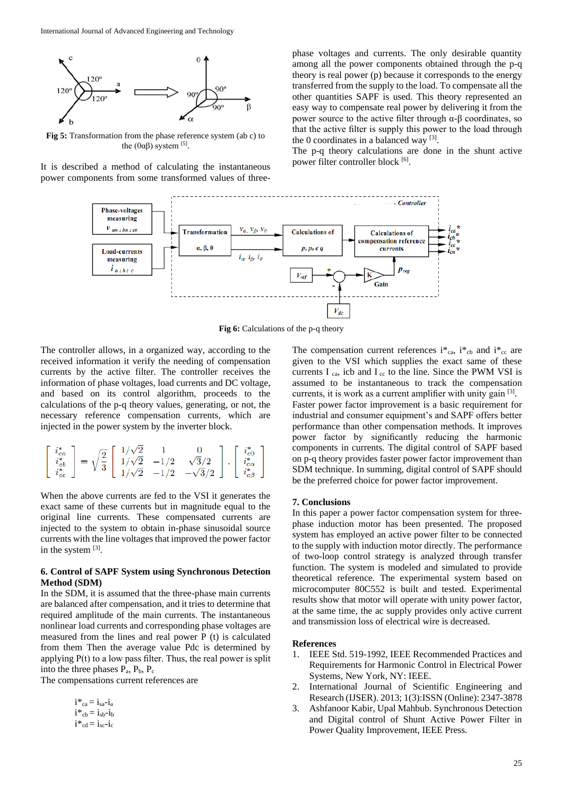

**Fig 5:** Transformation from the phase reference system (ab c) to the (0αβ) system  $^{[5]}$ .

It is described a method of calculating the instantaneous power components from some transformed values of three-

phase voltages and currents. The only desirable quantity among all the power components obtained through the p-q theory is real power (p) because it corresponds to the energy transferred from the supply to the load. To compensate all the other quantities SAPF is used. This theory represented an easy way to compensate real power by delivering it from the power source to the active filter through α-β coordinates, so that the active filter is supply this power to the load through the 0 coordinates in a balanced way  $[3]$ .

The p-q theory calculations are done in the shunt active power filter controller block [6].



**Fig 6:** Calculations of the p-q theory

The controller allows, in a organized way, according to the received information it verify the needing of compensation currents by the active filter. The controller receives the information of phase voltages, load currents and DC voltage, and based on its control algorithm, proceeds to the calculations of the p-q theory values, generating, or not, the necessary reference compensation currents, which are injected in the power system by the inverter block.

$$
\left[\begin{array}{c}i_{ca}^* \\ i_{cb}^* \\ i_{cc}^* \end{array}\right] = \sqrt{\frac{2}{3}}\left[\begin{array}{ccc} 1/\sqrt{2} & 1 & 0 \\ 1/\sqrt{2} & -1/2 & \sqrt{3}/2 \\ 1/\sqrt{2} & -1/2 & -\sqrt{3}/2 \end{array}\right].\left[\begin{array}{c}i_{c0}^* \\ i_{ca}^* \\ i_{c\beta}^* \end{array}\right]
$$

When the above currents are fed to the VSI it generates the exact same of these currents but in magnitude equal to the original line currents. These compensated currents are injected to the system to obtain in-phase sinusoidal source currents with the line voltages that improved the power factor in the system [3].

# **6. Control of SAPF System using Synchronous Detection Method (SDM)**

In the SDM, it is assumed that the three-phase main currents are balanced after compensation, and it tries to determine that required amplitude of the main currents. The instantaneous nonlinear load currents and corresponding phase voltages are measured from the lines and real power P (t) is calculated from them Then the average value Pdc is determined by applying  $P(t)$  to a low pass filter. Thus, the real power is split into the three phases  $P_a$ ,  $P_b$ ,  $P_c$ 

The compensations current references are

$$
\begin{array}{l}{\boldsymbol{i}}{\boldsymbol{*}}_{ca}={\boldsymbol{i}}_{sa}{\boldsymbol{-}}{\boldsymbol{i}}_{a}\\ {\boldsymbol{i}}{\boldsymbol{*}}_{cb}={\boldsymbol{i}}_{sb}{\boldsymbol{-}}{\boldsymbol{i}}_{b}\\ {\boldsymbol{i}}{\boldsymbol{*}}_{cd}={\boldsymbol{i}}_{sc}{\boldsymbol{-}}{\boldsymbol{i}}_{c} \end{array}
$$

The compensation current references  $i^*{}_{ca}$ ,  $i^*{}_{cb}$  and  $i^*{}_{cc}$  are given to the VSI which supplies the exact same of these currents I  $_{ca}$ , icb and I  $_{cc}$  to the line. Since the PWM VSI is assumed to be instantaneous to track the compensation currents, it is work as a current amplifier with unity gain [3]. Faster power factor improvement is a basic requirement for industrial and consumer equipment's and SAPF offers better performance than other compensation methods. It improves power factor by significantly reducing the harmonic components in currents. The digital control of SAPF based on p-q theory provides faster power factor improvement than SDM technique. In summing, digital control of SAPF should be the preferred choice for power factor improvement.

#### **7. Conclusions**

In this paper a power factor compensation system for threephase induction motor has been presented. The proposed system has employed an active power filter to be connected to the supply with induction motor directly. The performance of two-loop control strategy is analyzed through transfer function. The system is modeled and simulated to provide theoretical reference. The experimental system based on microcomputer 80C552 is built and tested. Experimental results show that motor will operate with unity power factor, at the same time, the ac supply provides only active current and transmission loss of electrical wire is decreased.

#### **References**

- 1. IEEE Std. 519-1992, IEEE Recommended Practices and Requirements for Harmonic Control in Electrical Power Systems, New York, NY: IEEE.
- 2. International Journal of Scientific Engineering and Research (IJSER). 2013; 1(3):ISSN (Online): 2347-3878
- 3. Ashfanoor Kabir, Upal Mahbub. Synchronous Detection and Digital control of Shunt Active Power Filter in Power Quality Improvement, IEEE Press.